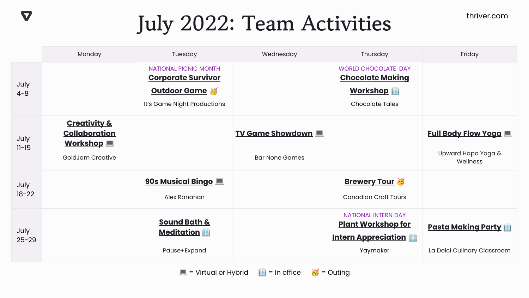thriver.com

## **July 2022: Team Activities**

 $\boldsymbol{\nabla}$ 

|                   | Monday                                                                                 | Tuesday                                                                                                  | Wednesday                                                               | Thursday                                                                                           | Friday                                                           |
|-------------------|----------------------------------------------------------------------------------------|----------------------------------------------------------------------------------------------------------|-------------------------------------------------------------------------|----------------------------------------------------------------------------------------------------|------------------------------------------------------------------|
| July<br>$4 - 8$   |                                                                                        | <b>NATIONAL PICNIC MONTH</b><br><b>Corporate Survivor</b><br>Outdoor Game<br>It's Game Night Productions |                                                                         | <b>WORLD CHOCOLATE DAY</b><br><b>Chocolate Making</b><br><b>Workshop</b><br><b>Chocolate Tales</b> |                                                                  |
| July<br>$11 - 15$ | <b>Creativity &amp;</b><br><b>Collaboration</b><br><b>Workshop</b><br>GoldJam Creative |                                                                                                          | <b>TV Game Showdown International Property</b><br><b>Bar None Games</b> |                                                                                                    | <b>Full Body Flow Yoga III</b><br>Upward Hapa Yoga &<br>Wellness |
| July<br>$18 - 22$ |                                                                                        | 90s Musical Bingo<br>Alex Ranahan                                                                        |                                                                         | <b>Brewery Tour</b><br><b>Canadian Craft Tours</b>                                                 |                                                                  |
| July<br>$25 - 29$ |                                                                                        | <b>Sound Bath &amp;</b><br><b>Meditation</b><br>Pause+Expand                                             |                                                                         | <b>NATIONAL INTERN DAY</b><br><b>Plant Workshop for</b><br><b>Intern Appreciation</b><br>Yaymaker  | <b>Pasta Making Party</b><br>La Dolci Culinary Classroom         |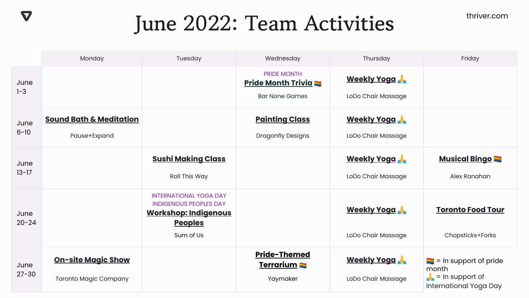thriver.com

## **June 2022: Team Activities**

 $\boldsymbol{\nabla}$ 

|                   | Monday                                                    | Tuesday                                                                                                                      | Wednesday                                                                | Thursday                                 | Friday                                                                                                 |
|-------------------|-----------------------------------------------------------|------------------------------------------------------------------------------------------------------------------------------|--------------------------------------------------------------------------|------------------------------------------|--------------------------------------------------------------------------------------------------------|
| June<br>$1 - 3$   |                                                           |                                                                                                                              | <b>PRIDE MONTH</b><br><b>Pride Month Trivia</b><br><b>Bar None Games</b> | <b>Weekly Yogg</b><br>LoDo Chair Massage |                                                                                                        |
| June<br>$6 - 10$  | <b>Sound Bath &amp; Meditation</b><br>Pause+Expand        |                                                                                                                              | <b>Painting Class</b><br><b>Dragonfly Designs</b>                        | <b>Weekly Yoga</b><br>LoDo Chair Massage |                                                                                                        |
| June<br>$13 - 17$ |                                                           | <b><u>Sushi Making Class</u></b><br>Roll This Way                                                                            |                                                                          | <b>Weekly Yogg</b><br>LoDo Chair Massage | <b>Musical Bingo</b><br>Alex Ranahan                                                                   |
| June<br>$20 - 24$ |                                                           | <b>INTERNATIONAL YOGA DAY</b><br><b>INDIGENOUS PEOPLES DAY</b><br><b>Workshop: Indigenous</b><br><b>Peoples</b><br>Sum of Us |                                                                          | <b>Weekly Yoga</b><br>LoDo Chair Massage | <b>Toronto Food Tour</b><br>Chopsticks+Forks                                                           |
| June<br>$27 - 30$ | <b>On-site Magic Show</b><br><b>Toronto Magic Company</b> |                                                                                                                              | Pride-Themed<br><u>Terrarium</u><br>Yaymaker                             | <b>Weekly Yoga</b><br>LoDo Chair Massage | $\blacksquare$ = In support of pride<br>month<br>$\triangle$ = In support of<br>International Yoga Day |